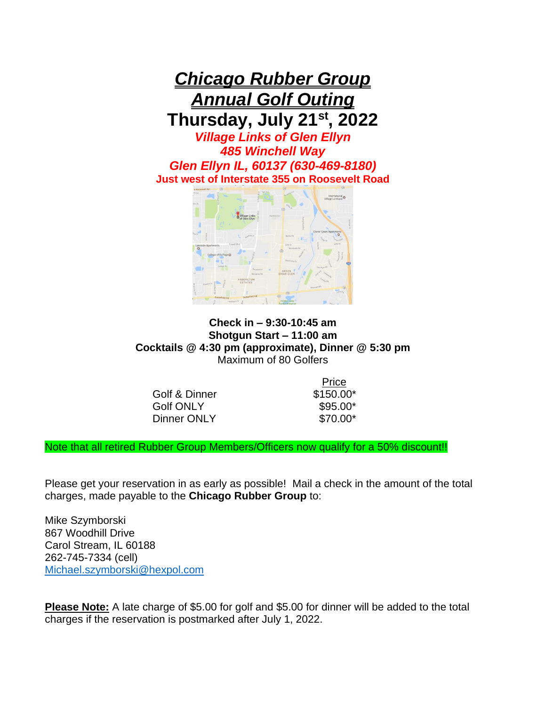



## **Check in – 9:30-10:45 am Shotgun Start – 11:00 am Cocktails @ 4:30 pm (approximate), Dinner @ 5:30 pm** Maximum of 80 Golfers

Golf & Dinner \$150.00\* Golf ONLY \$95.00\* Dinner ONLY \$70.00\*

Price

Note that all retired Rubber Group Members/Officers now qualify for a 50% discount!!

Please get your reservation in as early as possible! Mail a check in the amount of the total charges, made payable to the **Chicago Rubber Group** to:

Mike Szymborski 867 Woodhill Drive Carol Stream, IL 60188 262-745-7334 (cell) [Michael.szymborski@hexpol.com](mailto:Michael.szymborski@hexpol.com)

**Please Note:** A late charge of \$5.00 for golf and \$5.00 for dinner will be added to the total charges if the reservation is postmarked after July 1, 2022.